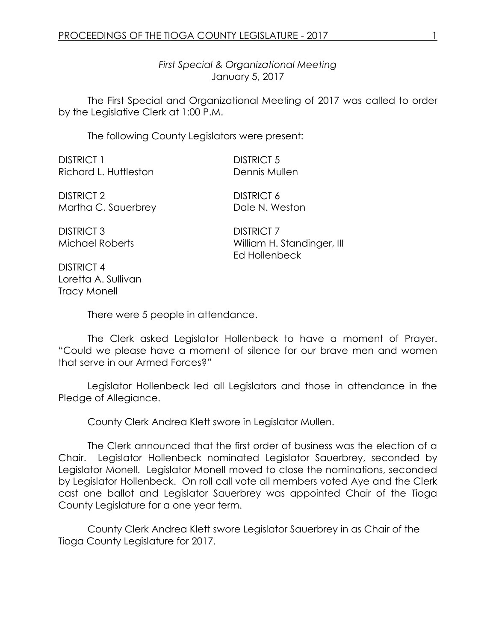*First Special & Organizational Meeting* January 5, 2017

The First Special and Organizational Meeting of 2017 was called to order by the Legislative Clerk at 1:00 P.M.

The following County Legislators were present:

DISTRICT 1 DISTRICT 5 Richard L. Huttleston **Dennis Mullen** 

DISTRICT 2 DISTRICT 6 Martha C. Sauerbrey Dale N. Weston

DISTRICT 3 DISTRICT 7

Michael Roberts William H. Standinger, III Ed Hollenbeck

DISTRICT 4 Loretta A. Sullivan Tracy Monell

There were 5 people in attendance.

The Clerk asked Legislator Hollenbeck to have a moment of Prayer. "Could we please have a moment of silence for our brave men and women that serve in our Armed Forces?"

Legislator Hollenbeck led all Legislators and those in attendance in the Pledge of Allegiance.

County Clerk Andrea Klett swore in Legislator Mullen.

The Clerk announced that the first order of business was the election of a Chair. Legislator Hollenbeck nominated Legislator Sauerbrey, seconded by Legislator Monell. Legislator Monell moved to close the nominations, seconded by Legislator Hollenbeck. On roll call vote all members voted Aye and the Clerk cast one ballot and Legislator Sauerbrey was appointed Chair of the Tioga County Legislature for a one year term.

County Clerk Andrea Klett swore Legislator Sauerbrey in as Chair of the Tioga County Legislature for 2017.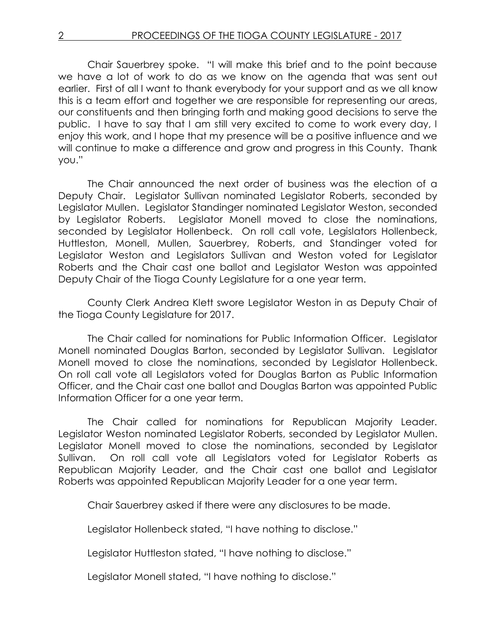Chair Sauerbrey spoke. "I will make this brief and to the point because we have a lot of work to do as we know on the agenda that was sent out earlier. First of all I want to thank everybody for your support and as we all know this is a team effort and together we are responsible for representing our areas, our constituents and then bringing forth and making good decisions to serve the public. I have to say that I am still very excited to come to work every day, I enjoy this work, and I hope that my presence will be a positive influence and we will continue to make a difference and grow and progress in this County. Thank you."

The Chair announced the next order of business was the election of a Deputy Chair. Legislator Sullivan nominated Legislator Roberts, seconded by Legislator Mullen. Legislator Standinger nominated Legislator Weston, seconded by Legislator Roberts. Legislator Monell moved to close the nominations, seconded by Legislator Hollenbeck. On roll call vote, Legislators Hollenbeck, Huttleston, Monell, Mullen, Sauerbrey, Roberts, and Standinger voted for Legislator Weston and Legislators Sullivan and Weston voted for Legislator Roberts and the Chair cast one ballot and Legislator Weston was appointed Deputy Chair of the Tioga County Legislature for a one year term.

County Clerk Andrea Klett swore Legislator Weston in as Deputy Chair of the Tioga County Legislature for 2017.

The Chair called for nominations for Public Information Officer. Legislator Monell nominated Douglas Barton, seconded by Legislator Sullivan. Legislator Monell moved to close the nominations, seconded by Legislator Hollenbeck. On roll call vote all Legislators voted for Douglas Barton as Public Information Officer, and the Chair cast one ballot and Douglas Barton was appointed Public Information Officer for a one year term.

The Chair called for nominations for Republican Majority Leader. Legislator Weston nominated Legislator Roberts, seconded by Legislator Mullen. Legislator Monell moved to close the nominations, seconded by Legislator Sullivan. On roll call vote all Legislators voted for Legislator Roberts as Republican Majority Leader, and the Chair cast one ballot and Legislator Roberts was appointed Republican Majority Leader for a one year term.

Chair Sauerbrey asked if there were any disclosures to be made.

Legislator Hollenbeck stated, "I have nothing to disclose."

Legislator Huttleston stated, "I have nothing to disclose."

Legislator Monell stated, "I have nothing to disclose."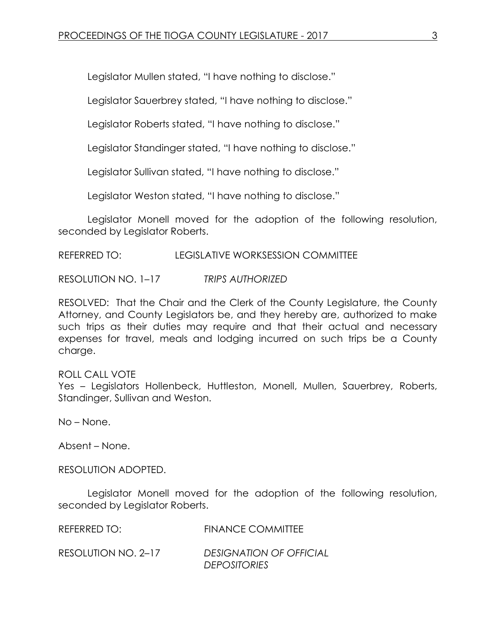Legislator Mullen stated, "I have nothing to disclose."

Legislator Sauerbrey stated, "I have nothing to disclose."

Legislator Roberts stated, "I have nothing to disclose."

Legislator Standinger stated, "I have nothing to disclose."

Legislator Sullivan stated, "I have nothing to disclose."

Legislator Weston stated, "I have nothing to disclose."

Legislator Monell moved for the adoption of the following resolution, seconded by Legislator Roberts.

REFERRED TO: LEGISLATIVE WORKSESSION COMMITTEE

RESOLUTION NO. 1–17 *TRIPS AUTHORIZED*

RESOLVED: That the Chair and the Clerk of the County Legislature, the County Attorney, and County Legislators be, and they hereby are, authorized to make such trips as their duties may require and that their actual and necessary expenses for travel, meals and lodging incurred on such trips be a County charge.

## ROLL CALL VOTE

Yes - Legislators Hollenbeck, Huttleston, Monell, Mullen, Sauerbrey, Roberts, Standinger, Sullivan and Weston.

No – None.

Absent – None.

RESOLUTION ADOPTED.

Legislator Monell moved for the adoption of the following resolution, seconded by Legislator Roberts.

REFERRED TO: FINANCE COMMITTEE

RESOLUTION NO. 2–17 *DESIGNATION OF OFFICIAL DEPOSITORIES*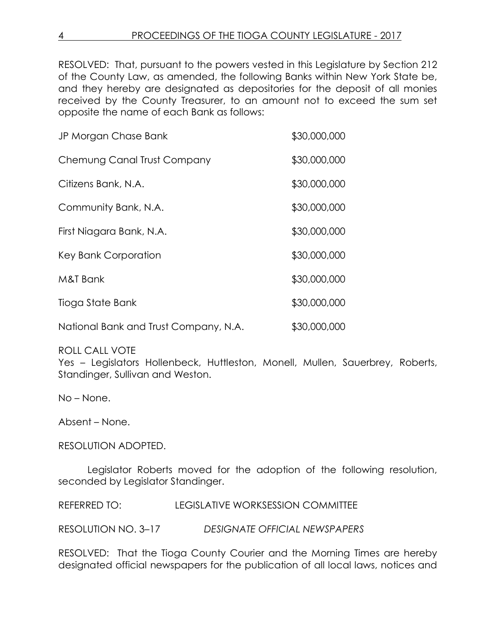RESOLVED: That, pursuant to the powers vested in this Legislature by Section 212 of the County Law, as amended, the following Banks within New York State be, and they hereby are designated as depositories for the deposit of all monies received by the County Treasurer, to an amount not to exceed the sum set opposite the name of each Bank as follows:

| JP Morgan Chase Bank                  | \$30,000,000 |
|---------------------------------------|--------------|
| Chemung Canal Trust Company           | \$30,000,000 |
| Citizens Bank, N.A.                   | \$30,000,000 |
| Community Bank, N.A.                  | \$30,000,000 |
| First Niagara Bank, N.A.              | \$30,000,000 |
| Key Bank Corporation                  | \$30,000,000 |
| M&T Bank                              | \$30,000,000 |
| Tioga State Bank                      | \$30,000,000 |
| National Bank and Trust Company, N.A. | \$30,000,000 |

ROLL CALL VOTE

Yes - Legislators Hollenbeck, Huttleston, Monell, Mullen, Sauerbrey, Roberts, Standinger, Sullivan and Weston.

No – None.

Absent – None.

RESOLUTION ADOPTED.

Legislator Roberts moved for the adoption of the following resolution, seconded by Legislator Standinger.

REFERRED TO: LEGISLATIVE WORKSESSION COMMITTEE

RESOLUTION NO. 3–17 *DESIGNATE OFFICIAL NEWSPAPERS*

RESOLVED: That the Tioga County Courier and the Morning Times are hereby designated official newspapers for the publication of all local laws, notices and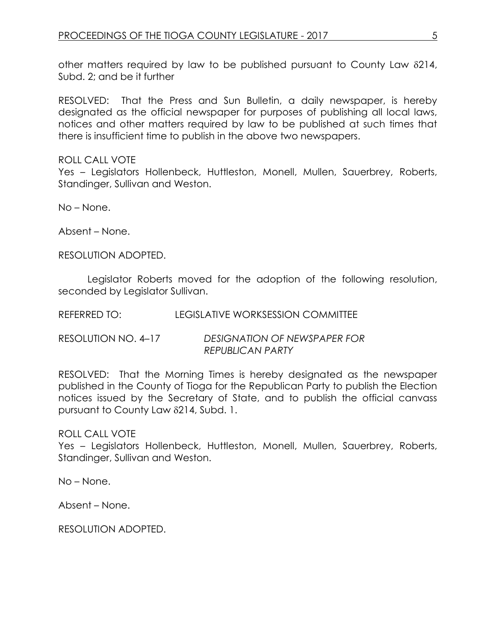other matters required by law to be published pursuant to County Law  $\delta$ 214, Subd. 2; and be it further

RESOLVED: That the Press and Sun Bulletin, a daily newspaper, is hereby designated as the official newspaper for purposes of publishing all local laws, notices and other matters required by law to be published at such times that there is insufficient time to publish in the above two newspapers.

ROLL CALL VOTE

Yes - Legislators Hollenbeck, Huttleston, Monell, Mullen, Sauerbrey, Roberts, Standinger, Sullivan and Weston.

No – None.

Absent – None.

RESOLUTION ADOPTED.

Legislator Roberts moved for the adoption of the following resolution, seconded by Legislator Sullivan.

REFERRED TO: LEGISLATIVE WORKSESSION COMMITTEE

RESOLUTION NO. 4–17 *DESIGNATION OF NEWSPAPER FOR REPUBLICAN PARTY*

RESOLVED: That the Morning Times is hereby designated as the newspaper published in the County of Tioga for the Republican Party to publish the Election notices issued by the Secretary of State, and to publish the official canvass pursuant to County Law 214, Subd. 1.

ROLL CALL VOTE

Yes – Legislators Hollenbeck, Huttleston, Monell, Mullen, Sauerbrey, Roberts, Standinger, Sullivan and Weston.

No – None.

Absent – None.

RESOLUTION ADOPTED.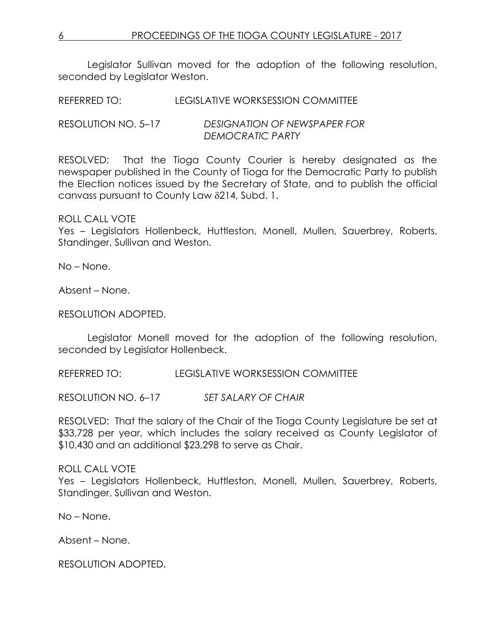Legislator Sullivan moved for the adoption of the following resolution, seconded by Legislator Weston.

REFERRED TO: LEGISLATIVE WORKSESSION COMMITTEE

RESOLUTION NO. 5–17 *DESIGNATION OF NEWSPAPER FOR DEMOCRATIC PARTY*

RESOLVED: That the Tioga County Courier is hereby designated as the newspaper published in the County of Tioga for the Democratic Party to publish the Election notices issued by the Secretary of State, and to publish the official canvass pursuant to County Law 214, Subd. 1.

ROLL CALL VOTE

Yes – Legislators Hollenbeck, Huttleston, Monell, Mullen, Sauerbrey, Roberts, Standinger, Sullivan and Weston.

No – None.

Absent – None.

RESOLUTION ADOPTED.

Legislator Monell moved for the adoption of the following resolution, seconded by Legislator Hollenbeck.

REFERRED TO: LEGISLATIVE WORKSESSION COMMITTEE

RESOLUTION NO. 6–17 *SET SALARY OF CHAIR*

RESOLVED: That the salary of the Chair of the Tioga County Legislature be set at \$33,728 per year, which includes the salary received as County Legislator of \$10,430 and an additional \$23,298 to serve as Chair.

## ROLL CALL VOTE

Yes – Legislators Hollenbeck, Huttleston, Monell, Mullen, Sauerbrey, Roberts, Standinger, Sullivan and Weston.

No – None.

Absent – None.

RESOLUTION ADOPTED.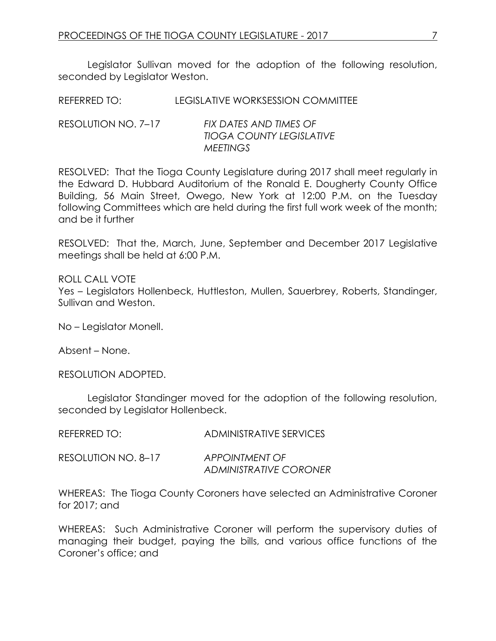Legislator Sullivan moved for the adoption of the following resolution, seconded by Legislator Weston.

REFERRED TO: LEGISLATIVE WORKSESSION COMMITTEE

RESOLUTION NO. 7–17 *FIX DATES AND TIMES OF TIOGA COUNTY LEGISLATIVE MEETINGS*

RESOLVED: That the Tioga County Legislature during 2017 shall meet regularly in the Edward D. Hubbard Auditorium of the Ronald E. Dougherty County Office Building, 56 Main Street, Owego, New York at 12:00 P.M. on the Tuesday following Committees which are held during the first full work week of the month; and be it further

RESOLVED: That the, March, June, September and December 2017 Legislative meetings shall be held at 6:00 P.M.

ROLL CALL VOTE Yes – Legislators Hollenbeck, Huttleston, Mullen, Sauerbrey, Roberts, Standinger, Sullivan and Weston.

No – Legislator Monell.

Absent – None.

RESOLUTION ADOPTED.

Legislator Standinger moved for the adoption of the following resolution, seconded by Legislator Hollenbeck.

| REFERRED TO:        | ADMINISTRATIVE SERVICES |
|---------------------|-------------------------|
| RESOLUTION NO. 8–17 | APPOINTMENT OF          |
|                     | ADMINISTRATIVE CORONER  |

WHEREAS: The Tioga County Coroners have selected an Administrative Coroner for 2017; and

WHEREAS: Such Administrative Coroner will perform the supervisory duties of managing their budget, paying the bills, and various office functions of the Coroner's office; and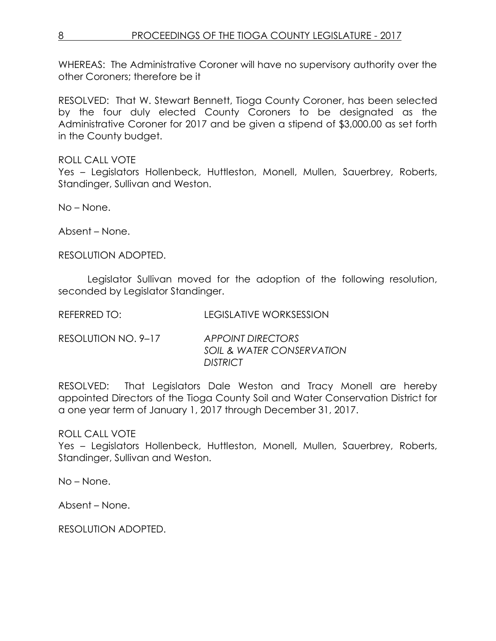WHEREAS: The Administrative Coroner will have no supervisory authority over the other Coroners; therefore be it

RESOLVED: That W. Stewart Bennett, Tioga County Coroner, has been selected by the four duly elected County Coroners to be designated as the Administrative Coroner for 2017 and be given a stipend of \$3,000.00 as set forth in the County budget.

ROLL CALL VOTE

Yes – Legislators Hollenbeck, Huttleston, Monell, Mullen, Sauerbrey, Roberts, Standinger, Sullivan and Weston.

No – None.

Absent – None.

RESOLUTION ADOPTED.

Legislator Sullivan moved for the adoption of the following resolution, seconded by Legislator Standinger.

REFERRED TO: LEGISLATIVE WORKSESSION

RESOLUTION NO. 9–17 *APPOINT DIRECTORS SOIL & WATER CONSERVATION DISTRICT*

RESOLVED: That Legislators Dale Weston and Tracy Monell are hereby appointed Directors of the Tioga County Soil and Water Conservation District for a one year term of January 1, 2017 through December 31, 2017.

ROLL CALL VOTE

Yes – Legislators Hollenbeck, Huttleston, Monell, Mullen, Sauerbrey, Roberts, Standinger, Sullivan and Weston.

No – None.

Absent – None.

RESOLUTION ADOPTED.